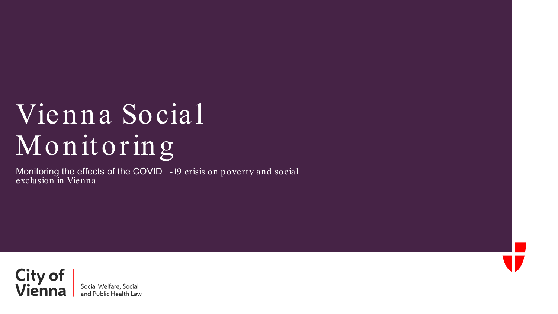## Vienna Social Monitoring

Monitoring the effects of the COVID -19 crisis on poverty and social exclusion in Vienna

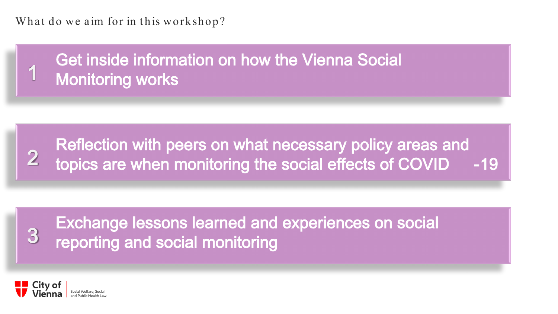What do we aim for in this workshop?

Get inside information on how the Vienna Social<br>Monitoring works



## Exchange lessons learned and experiences on social<br>3 reporting and social monitoring

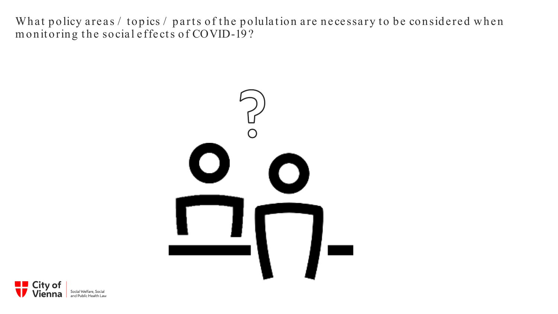What policy areas / topics / parts of the polulation are necessary to be considered when monitoring the social effects of COVID-19?



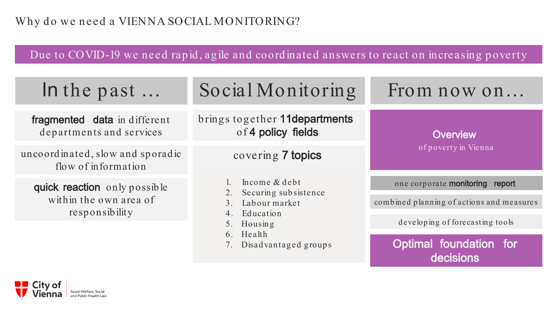Due to COVID-19 we need rapid, agile and coordinated answers to react on increasing poverty

| In the past                                                              | Social Monitoring                                                                                                            | From now on                                                                  |  |
|--------------------------------------------------------------------------|------------------------------------------------------------------------------------------------------------------------------|------------------------------------------------------------------------------|--|
| fragmented data in different<br>departments and services                 | brings together 11departments<br>of 4 policy fields                                                                          | <b>Overview</b>                                                              |  |
| uncoordinated, slow and sporadic<br>flow of information                  | covering 7 topics                                                                                                            | of poverty in Vienna                                                         |  |
| quick reaction only possible<br>within the own area of<br>responsibility | Income & debt<br>Securing subsistence<br>2.<br>Labour market<br>Education<br>5. Housing<br>6. Health<br>Disadvantaged groups | one corporate monitoring report<br>combined planning of actions and measures |  |
|                                                                          |                                                                                                                              | developing of forecasting tools<br>Optimal foundation for<br>decisions       |  |

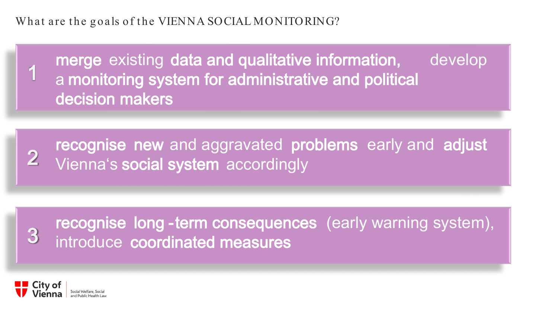What are the goals of the VIENNA SOCIAL MONITORING?

merge existing data and qualitative information, develop a monitoring system for administrative and political decision makers

**recognise new and aggravated problems early and adjust Vienna's social system** accordingly

recognise long -term consequences (early warning system), 3 introduce coordinated measures



1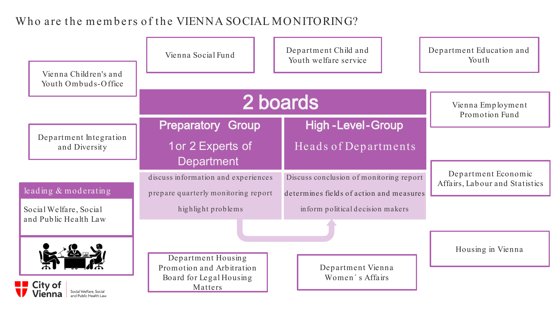## Who are the members of the VIENNA SOCIAL MONITORING?

| Vienna Children's and                                                       | Vienna Social Fund                                                   | Department Child and<br>Youth welfare service | Department Education and<br>Youth                     |
|-----------------------------------------------------------------------------|----------------------------------------------------------------------|-----------------------------------------------|-------------------------------------------------------|
| Youth Ombuds-Office                                                         |                                                                      |                                               |                                                       |
|                                                                             | 2 boards                                                             |                                               | Vienna Employment<br>Promotion Fund                   |
|                                                                             | <b>Preparatory Group</b>                                             | <b>High-Level-Group</b>                       |                                                       |
| Department Integration<br>and Diversity                                     | 1 or 2 Experts of                                                    | Heads of Departments                          |                                                       |
|                                                                             | <b>Department</b>                                                    |                                               |                                                       |
|                                                                             | discuss information and experiences                                  | Discuss conclusion of monitoring report       | Department Economic<br>Affairs, Labour and Statistics |
| leading & moderating                                                        | prepare quarterly monitoring report                                  | determines fields of action and measures      |                                                       |
| Social Welfare, Social                                                      | highlight problems                                                   | inform political decision makers              |                                                       |
| and Public Health Law                                                       |                                                                      |                                               |                                                       |
|                                                                             | Department Housing<br>Promotion and Arbitration<br>Department Vienna |                                               | Housing in Vienna                                     |
| <b>City of</b><br>Social Welfare, Social<br>Vienna<br>and Public Health Law | Board for Legal Housing<br>Matters                                   | Women's Affairs                               |                                                       |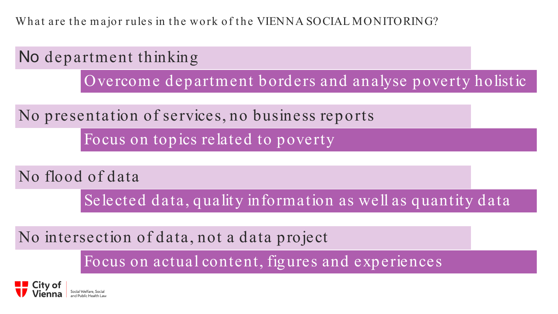What are the major rules in the work of the VIENNA SOCIAL MONITORING?



Selected data, quality information as well as quantity data

No intersection of data, not a data project

Focus on actual content, figures and experiences